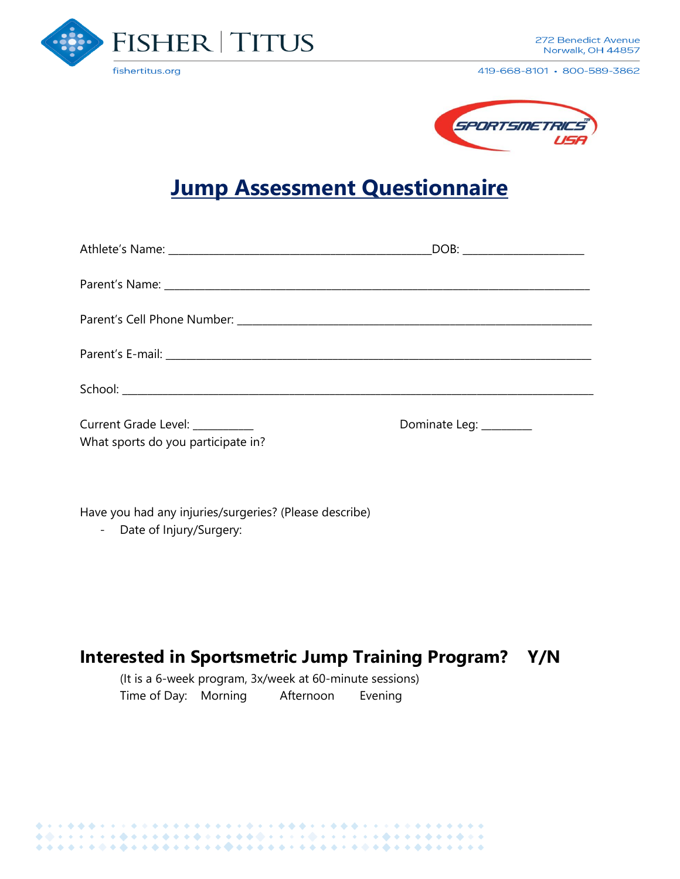

419-668-8101 · 800-589-3862



# **Jump Assessment Questionnaire**

|                                                                      | DOB: ____________________ |
|----------------------------------------------------------------------|---------------------------|
|                                                                      |                           |
|                                                                      |                           |
|                                                                      |                           |
|                                                                      |                           |
| Current Grade Level: _________<br>What sports do you participate in? | Dominate Leg: ________    |

Have you had any injuries/surgeries? (Please describe)

- Date of Injury/Surgery:

## **Interested in Sportsmetric Jump Training Program? Y/N**

(It is a 6-week program, 3x/week at 60-minute sessions) Time of Day: Morning Afternoon Evening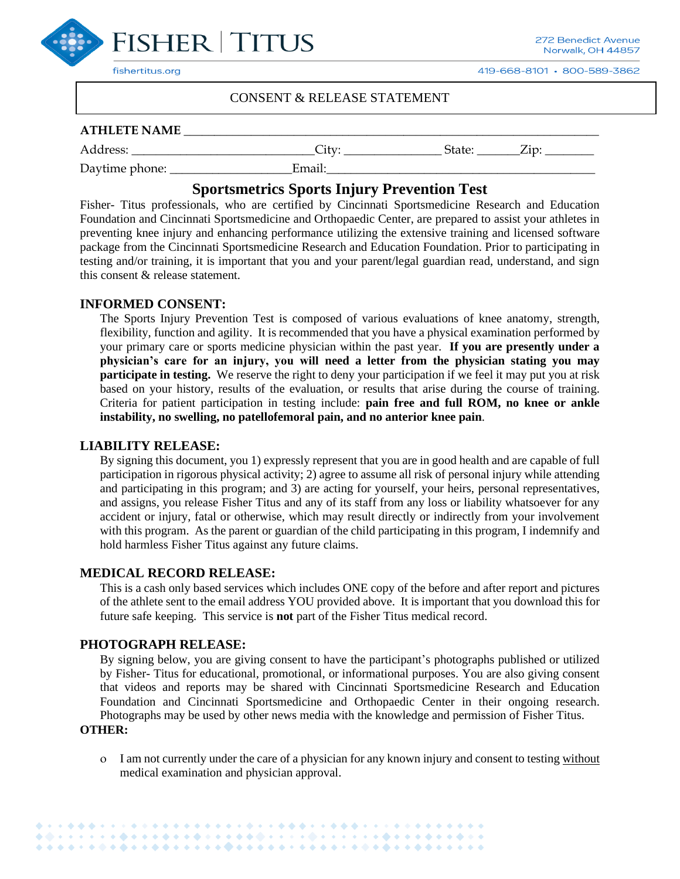

419-668-8101 · 800-589-3862

### CONSENT & RELEASE STATEMENT

#### **ATHLETE NAME** \_\_\_\_\_\_\_\_\_\_\_\_\_\_\_\_\_\_\_\_\_\_\_\_\_\_\_\_\_\_\_\_\_\_\_\_\_\_\_\_\_\_\_\_\_\_\_\_\_\_\_\_\_\_\_\_\_\_\_\_\_\_\_\_\_\_\_\_

Daytime phone: \_\_\_\_\_\_\_\_\_\_\_\_\_\_\_\_\_\_\_\_Email:\_\_\_\_\_\_\_\_\_\_\_\_\_\_\_\_\_\_\_\_\_\_\_\_\_\_\_\_\_\_\_\_\_\_\_\_\_\_\_\_\_\_\_\_

Address: \_\_\_\_\_\_\_\_\_\_\_\_\_\_\_\_\_\_\_\_\_\_\_\_\_\_\_\_\_\_City: \_\_\_\_\_\_\_\_\_\_\_\_\_\_\_\_ State: \_\_\_\_\_\_\_Zip: \_\_\_\_\_\_\_\_

**Sportsmetrics Sports Injury Prevention Test**

Fisher- Titus professionals, who are certified by Cincinnati Sportsmedicine Research and Education Foundation and Cincinnati Sportsmedicine and Orthopaedic Center, are prepared to assist your athletes in preventing knee injury and enhancing performance utilizing the extensive training and licensed software package from the Cincinnati Sportsmedicine Research and Education Foundation. Prior to participating in testing and/or training, it is important that you and your parent/legal guardian read, understand, and sign this consent & release statement.

#### **INFORMED CONSENT:**

The Sports Injury Prevention Test is composed of various evaluations of knee anatomy, strength, flexibility, function and agility. It is recommended that you have a physical examination performed by your primary care or sports medicine physician within the past year. **If you are presently under a physician's care for an injury, you will need a letter from the physician stating you may participate in testing.** We reserve the right to deny your participation if we feel it may put you at risk based on your history, results of the evaluation, or results that arise during the course of training. Criteria for patient participation in testing include: **pain free and full ROM, no knee or ankle instability, no swelling, no patellofemoral pain, and no anterior knee pain**.

#### **LIABILITY RELEASE:**

By signing this document, you 1) expressly represent that you are in good health and are capable of full participation in rigorous physical activity; 2) agree to assume all risk of personal injury while attending and participating in this program; and 3) are acting for yourself, your heirs, personal representatives, and assigns, you release Fisher Titus and any of its staff from any loss or liability whatsoever for any accident or injury, fatal or otherwise, which may result directly or indirectly from your involvement with this program. As the parent or guardian of the child participating in this program, I indemnify and hold harmless Fisher Titus against any future claims.

#### **MEDICAL RECORD RELEASE:**

This is a cash only based services which includes ONE copy of the before and after report and pictures of the athlete sent to the email address YOU provided above. It is important that you download this for future safe keeping. This service is **not** part of the Fisher Titus medical record.

#### **PHOTOGRAPH RELEASE:**

By signing below, you are giving consent to have the participant's photographs published or utilized by Fisher- Titus for educational, promotional, or informational purposes. You are also giving consent that videos and reports may be shared with Cincinnati Sportsmedicine Research and Education Foundation and Cincinnati Sportsmedicine and Orthopaedic Center in their ongoing research. Photographs may be used by other news media with the knowledge and permission of Fisher Titus.

#### **OTHER:**

 I am not currently under the care of a physician for any known injury and consent to testing without medical examination and physician approval.